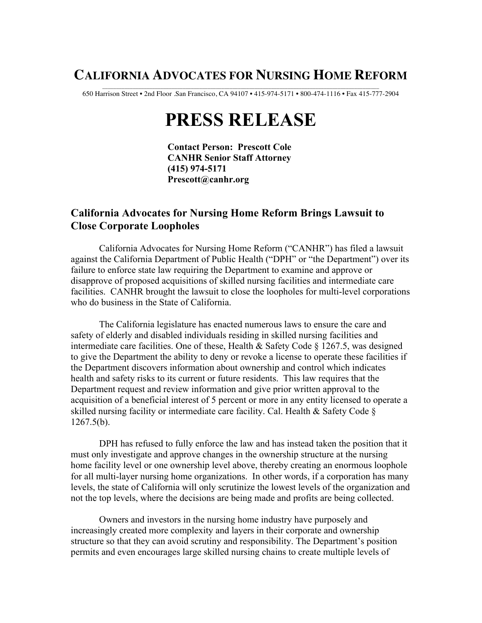## **CALIFORNIA ADVOCATES FOR NURSING HOME REFORM**

\_\_\_\_\_\_\_\_\_\_\_\_\_\_\_\_\_\_\_\_\_\_\_\_\_\_\_\_\_\_\_\_\_\_\_\_\_\_\_\_\_\_\_\_\_\_\_\_\_\_\_\_\_\_\_\_\_\_\_\_\_\_\_\_\_\_\_\_\_\_\_\_\_\_\_\_\_\_\_\_\_\_\_\_\_\_\_\_\_\_\_\_\_\_\_\_\_\_\_\_ 650 Harrison Street • 2nd Floor .San Francisco, CA 94107 • 415-974-5171 • 800-474-1116 • Fax 415-777-2904

## **PRESS RELEASE**

 **Contact Person: Prescott Cole CANHR Senior Staff Attorney (415) 974-5171 Prescott@canhr.org**

## **California Advocates for Nursing Home Reform Brings Lawsuit to Close Corporate Loopholes**

California Advocates for Nursing Home Reform ("CANHR") has filed a lawsuit against the California Department of Public Health ("DPH" or "the Department") over its failure to enforce state law requiring the Department to examine and approve or disapprove of proposed acquisitions of skilled nursing facilities and intermediate care facilities. CANHR brought the lawsuit to close the loopholes for multi-level corporations who do business in the State of California.

The California legislature has enacted numerous laws to ensure the care and safety of elderly and disabled individuals residing in skilled nursing facilities and intermediate care facilities. One of these, Health & Safety Code § 1267.5, was designed to give the Department the ability to deny or revoke a license to operate these facilities if the Department discovers information about ownership and control which indicates health and safety risks to its current or future residents. This law requires that the Department request and review information and give prior written approval to the acquisition of a beneficial interest of 5 percent or more in any entity licensed to operate a skilled nursing facility or intermediate care facility. Cal. Health & Safety Code § 1267.5(b).

DPH has refused to fully enforce the law and has instead taken the position that it must only investigate and approve changes in the ownership structure at the nursing home facility level or one ownership level above, thereby creating an enormous loophole for all multi-layer nursing home organizations. In other words, if a corporation has many levels, the state of California will only scrutinize the lowest levels of the organization and not the top levels, where the decisions are being made and profits are being collected.

Owners and investors in the nursing home industry have purposely and increasingly created more complexity and layers in their corporate and ownership structure so that they can avoid scrutiny and responsibility. The Department's position permits and even encourages large skilled nursing chains to create multiple levels of